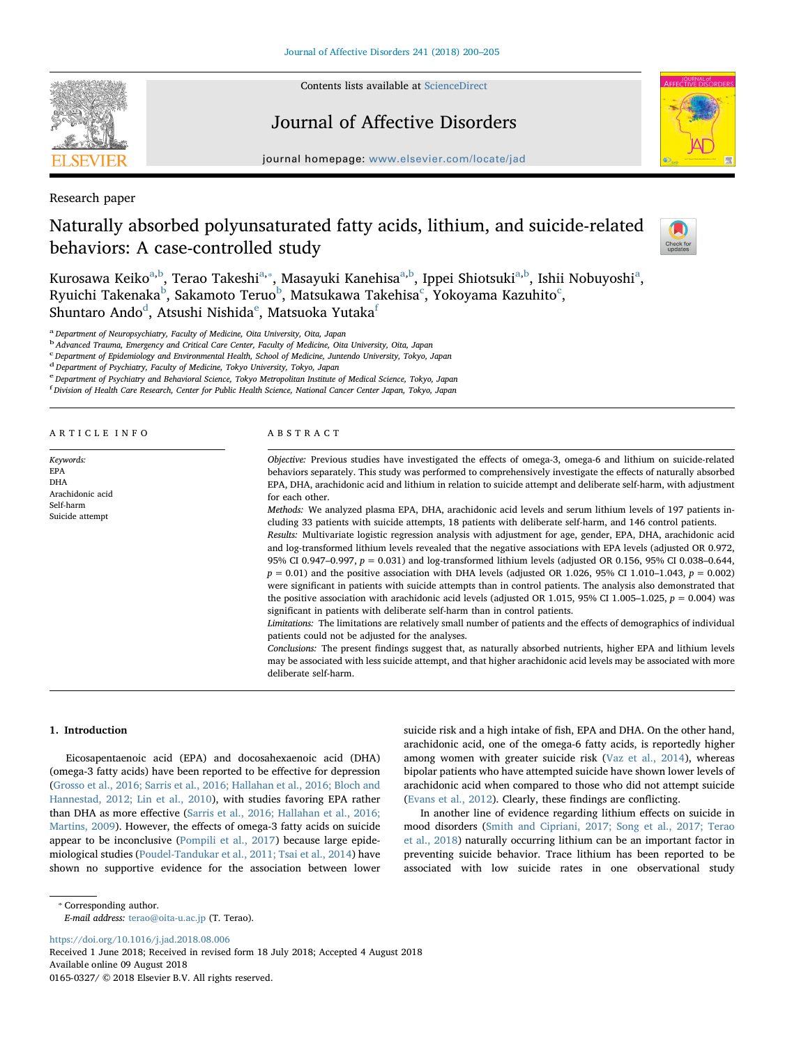

Contents lists available at [ScienceDirect](http://www.sciencedirect.com/science/journal/01650327)

## Journal of Affective Disorders



journal homepage: [www.elsevier.com/locate/jad](https://www.elsevier.com/locate/jad)

Research paper

# Naturally absorbed polyunsaturated fatty acids, lithium, and suicide-related behaviors: A case-controlled study



Kurosawa Keiko<sup>a,[b](#page-0-1)</sup>, Terao Takeshi<sup>[a,](#page-0-0)</sup>\*, M[a](#page-0-0)sayuki Kanehisa<sup>a[,b](#page-0-1)</sup>, Ippei Shiotsuki<sup>a,b</sup>, Ishii Nobuyoshi<sup>a</sup>, Ryui[c](#page-0-3)hi Takenaka $^{\rm b}$  $^{\rm b}$  $^{\rm b}$ , Sakamoto Teruo $^{\rm b}$ , Matsukawa Takehisa $^{\rm c}$ , Yokoyama Kazuhito $^{\rm c}$ , Shuntaro An[d](#page-0-4)o $^{\rm d}$ , Atsushi Nishida $^{\rm e}$  $^{\rm e}$  $^{\rm e}$ , Matsuoka Yutaka $^{\rm f}$  $^{\rm f}$  $^{\rm f}$ 

<span id="page-0-0"></span><sup>a</sup> Department of Neuropsychiatry, Faculty of Medicine, Oita University, Oita, Japan

<span id="page-0-1"></span><sup>b</sup> Advanced Trauma, Emergency and Critical Care Center, Faculty of Medicine, Oita University, Oita, Japan

<span id="page-0-3"></span>c Department of Epidemiology and Environmental Health, School of Medicine, Juntendo University, Tokyo, Japan

<span id="page-0-4"></span> $d$  Department of Psychiatry, Faculty of Medicine, Tokyo University, Tokyo, Japan

<span id="page-0-5"></span>e Department of Psychiatry and Behavioral Science, Tokyo Metropolitan Institute of Medical Science, Tokyo, Japan

<span id="page-0-6"></span>f Division of Health Care Research, Center for Public Health Science, National Cancer Center Japan, Tokyo, Japan

| ARTICLE INFO |  |  |  |
|--------------|--|--|--|
|              |  |  |  |

Keywords: EPA DHA Arachidonic acid Self-harm Suicide attempt

ABSTRACT

Objective: Previous studies have investigated the effects of omega-3, omega-6 and lithium on suicide-related behaviors separately. This study was performed to comprehensively investigate the effects of naturally absorbed EPA, DHA, arachidonic acid and lithium in relation to suicide attempt and deliberate self-harm, with adjustment for each other.

Methods: We analyzed plasma EPA, DHA, arachidonic acid levels and serum lithium levels of 197 patients including 33 patients with suicide attempts, 18 patients with deliberate self-harm, and 146 control patients.

Results: Multivariate logistic regression analysis with adjustment for age, gender, EPA, DHA, arachidonic acid and log-transformed lithium levels revealed that the negative associations with EPA levels (adjusted OR 0.972, 95% CI 0.947–0.997,  $p = 0.031$ ) and log-transformed lithium levels (adjusted OR 0.156, 95% CI 0.038–0.644,  $p = 0.01$ ) and the positive association with DHA levels (adjusted OR 1.026, 95% CI 1.010–1.043,  $p = 0.002$ ) were significant in patients with suicide attempts than in control patients. The analysis also demonstrated that the positive association with arachidonic acid levels (adjusted OR 1.015, 95% CI 1.005–1.025,  $p = 0.004$ ) was significant in patients with deliberate self-harm than in control patients.

Limitations: The limitations are relatively small number of patients and the effects of demographics of individual patients could not be adjusted for the analyses.

Conclusions: The present findings suggest that, as naturally absorbed nutrients, higher EPA and lithium levels may be associated with less suicide attempt, and that higher arachidonic acid levels may be associated with more deliberate self-harm.

## 1. Introduction

Eicosapentaenoic acid (EPA) and docosahexaenoic acid (DHA) (omega-3 fatty acids) have been reported to be effective for depression ([Grosso et al., 2016; Sarris et al., 2016; Hallahan et al., 2016; Bloch and](#page-4-0) [Hannestad, 2012; Lin et al., 2010\)](#page-4-0), with studies favoring EPA rather than DHA as more effective [\(Sarris et al., 2016; Hallahan et al., 2016;](#page-4-1) [Martins, 2009](#page-4-1)). However, the effects of omega-3 fatty acids on suicide appear to be inconclusive ([Pompili et al., 2017](#page-4-2)) because large epidemiological studies ([Poudel-Tandukar et al., 2011; Tsai et al., 2014](#page-4-3)) have shown no supportive evidence for the association between lower suicide risk and a high intake of fish, EPA and DHA. On the other hand, arachidonic acid, one of the omega-6 fatty acids, is reportedly higher among women with greater suicide risk [\(Vaz et al., 2014\)](#page-5-0), whereas bipolar patients who have attempted suicide have shown lower levels of arachidonic acid when compared to those who did not attempt suicide ([Evans et al., 2012\)](#page-4-4). Clearly, these findings are conflicting.

In another line of evidence regarding lithium effects on suicide in mood disorders ([Smith and Cipriani, 2017; Song et al., 2017; Terao](#page-5-1) [et al., 2018](#page-5-1)) naturally occurring lithium can be an important factor in preventing suicide behavior. Trace lithium has been reported to be associated with low suicide rates in one observational study

E-mail address: [terao@oita-u.ac.jp](mailto:terao@oita-u.ac.jp) (T. Terao).

<https://doi.org/10.1016/j.jad.2018.08.006>

<span id="page-0-2"></span><sup>⁎</sup> Corresponding author.

Received 1 June 2018; Received in revised form 18 July 2018; Accepted 4 August 2018 Available online 09 August 2018 0165-0327/ © 2018 Elsevier B.V. All rights reserved.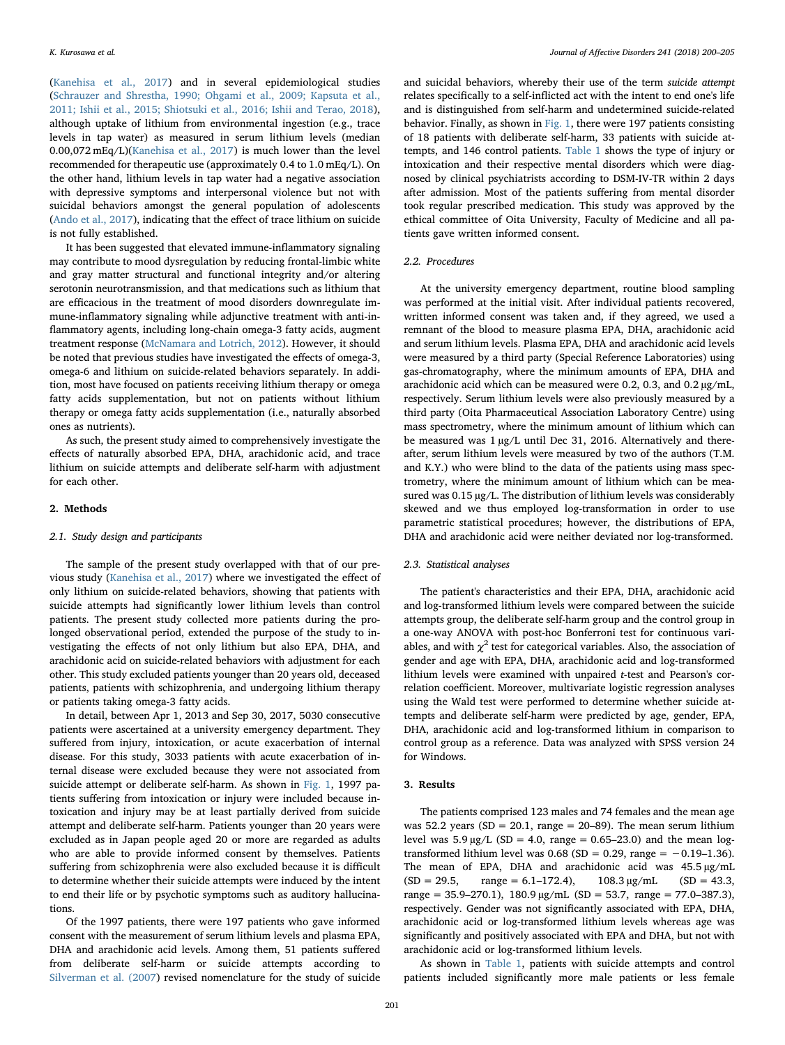([Kanehisa et al., 2017\)](#page-4-5) and in several epidemiological studies ([Schrauzer and Shrestha, 1990; Ohgami et al., 2009; Kapsuta et al.,](#page-5-2) [2011; Ishii et al., 2015; Shiotsuki et al., 2016; Ishii and Terao, 2018](#page-5-2)), although uptake of lithium from environmental ingestion (e.g., trace levels in tap water) as measured in serum lithium levels (median 0.00,072 mEq/L)([Kanehisa et al., 2017](#page-4-5)) is much lower than the level recommended for therapeutic use (approximately 0.4 to 1.0 mEq/L). On the other hand, lithium levels in tap water had a negative association with depressive symptoms and interpersonal violence but not with suicidal behaviors amongst the general population of adolescents ([Ando et al., 2017\)](#page-4-6), indicating that the effect of trace lithium on suicide is not fully established.

It has been suggested that elevated immune-inflammatory signaling may contribute to mood dysregulation by reducing frontal-limbic white and gray matter structural and functional integrity and/or altering serotonin neurotransmission, and that medications such as lithium that are efficacious in the treatment of mood disorders downregulate immune-inflammatory signaling while adjunctive treatment with anti-inflammatory agents, including long-chain omega-3 fatty acids, augment treatment response [\(McNamara and Lotrich, 2012](#page-4-7)). However, it should be noted that previous studies have investigated the effects of omega-3, omega-6 and lithium on suicide-related behaviors separately. In addition, most have focused on patients receiving lithium therapy or omega fatty acids supplementation, but not on patients without lithium therapy or omega fatty acids supplementation (i.e., naturally absorbed ones as nutrients).

As such, the present study aimed to comprehensively investigate the effects of naturally absorbed EPA, DHA, arachidonic acid, and trace lithium on suicide attempts and deliberate self-harm with adjustment for each other.

## 2. Methods

## 2.1. Study design and participants

The sample of the present study overlapped with that of our previous study [\(Kanehisa et al., 2017](#page-4-5)) where we investigated the effect of only lithium on suicide-related behaviors, showing that patients with suicide attempts had significantly lower lithium levels than control patients. The present study collected more patients during the prolonged observational period, extended the purpose of the study to investigating the effects of not only lithium but also EPA, DHA, and arachidonic acid on suicide-related behaviors with adjustment for each other. This study excluded patients younger than 20 years old, deceased patients, patients with schizophrenia, and undergoing lithium therapy or patients taking omega-3 fatty acids.

In detail, between Apr 1, 2013 and Sep 30, 2017, 5030 consecutive patients were ascertained at a university emergency department. They suffered from injury, intoxication, or acute exacerbation of internal disease. For this study, 3033 patients with acute exacerbation of internal disease were excluded because they were not associated from suicide attempt or deliberate self-harm. As shown in [Fig. 1](#page-2-0), 1997 patients suffering from intoxication or injury were included because intoxication and injury may be at least partially derived from suicide attempt and deliberate self-harm. Patients younger than 20 years were excluded as in Japan people aged 20 or more are regarded as adults who are able to provide informed consent by themselves. Patients suffering from schizophrenia were also excluded because it is difficult to determine whether their suicide attempts were induced by the intent to end their life or by psychotic symptoms such as auditory hallucinations.

Of the 1997 patients, there were 197 patients who gave informed consent with the measurement of serum lithium levels and plasma EPA, DHA and arachidonic acid levels. Among them, 51 patients suffered from deliberate self-harm or suicide attempts according to [Silverman et al. \(2007\)](#page-5-3) revised nomenclature for the study of suicide and suicidal behaviors, whereby their use of the term suicide attempt relates specifically to a self-inflicted act with the intent to end one's life and is distinguished from self-harm and undetermined suicide-related behavior. Finally, as shown in [Fig. 1](#page-2-0), there were 197 patients consisting of 18 patients with deliberate self-harm, 33 patients with suicide attempts, and 146 control patients. [Table 1](#page-2-1) shows the type of injury or intoxication and their respective mental disorders which were diagnosed by clinical psychiatrists according to DSM-IV-TR within 2 days after admission. Most of the patients suffering from mental disorder took regular prescribed medication. This study was approved by the ethical committee of Oita University, Faculty of Medicine and all patients gave written informed consent.

## 2.2. Procedures

At the university emergency department, routine blood sampling was performed at the initial visit. After individual patients recovered, written informed consent was taken and, if they agreed, we used a remnant of the blood to measure plasma EPA, DHA, arachidonic acid and serum lithium levels. Plasma EPA, DHA and arachidonic acid levels were measured by a third party (Special Reference Laboratories) using gas-chromatography, where the minimum amounts of EPA, DHA and arachidonic acid which can be measured were 0.2, 0.3, and 0.2  $\mu$ g/mL, respectively. Serum lithium levels were also previously measured by a third party (Oita Pharmaceutical Association Laboratory Centre) using mass spectrometry, where the minimum amount of lithium which can be measured was  $1 \mu g/L$  until Dec 31, 2016. Alternatively and thereafter, serum lithium levels were measured by two of the authors (T.M. and K.Y.) who were blind to the data of the patients using mass spectrometry, where the minimum amount of lithium which can be measured was 0.15 µg/L. The distribution of lithium levels was considerably skewed and we thus employed log-transformation in order to use parametric statistical procedures; however, the distributions of EPA, DHA and arachidonic acid were neither deviated nor log-transformed.

## 2.3. Statistical analyses

The patient's characteristics and their EPA, DHA, arachidonic acid and log-transformed lithium levels were compared between the suicide attempts group, the deliberate self-harm group and the control group in a one-way ANOVA with post-hoc Bonferroni test for continuous variables, and with  $\chi^2$  test for categorical variables. Also, the association of gender and age with EPA, DHA, arachidonic acid and log-transformed lithium levels were examined with unpaired t-test and Pearson's correlation coefficient. Moreover, multivariate logistic regression analyses using the Wald test were performed to determine whether suicide attempts and deliberate self-harm were predicted by age, gender, EPA, DHA, arachidonic acid and log-transformed lithium in comparison to control group as a reference. Data was analyzed with SPSS version 24 for Windows.

## 3. Results

The patients comprised 123 males and 74 females and the mean age was 52.2 years (SD = 20.1, range = 20–89). The mean serum lithium level was  $5.9 \mu g/L$  (SD = 4.0, range = 0.65–23.0) and the mean logtransformed lithium level was  $0.68$  (SD = 0.29, range = -0.19–1.36). The mean of EPA, DHA and arachidonic acid was 45.5 µg/mL  $(SD = 29.5, \text{ range} = 6.1 - 172.4), \text{ } 108.3 \,\mu\text{g/mL} \text{ (SD} = 43.3,$ range = 35.9–270.1), 180.9  $\mu$ g/mL (SD = 53.7, range = 77.0–387.3), respectively. Gender was not significantly associated with EPA, DHA, arachidonic acid or log-transformed lithium levels whereas age was significantly and positively associated with EPA and DHA, but not with arachidonic acid or log-transformed lithium levels.

As shown in [Table 1](#page-2-1), patients with suicide attempts and control patients included significantly more male patients or less female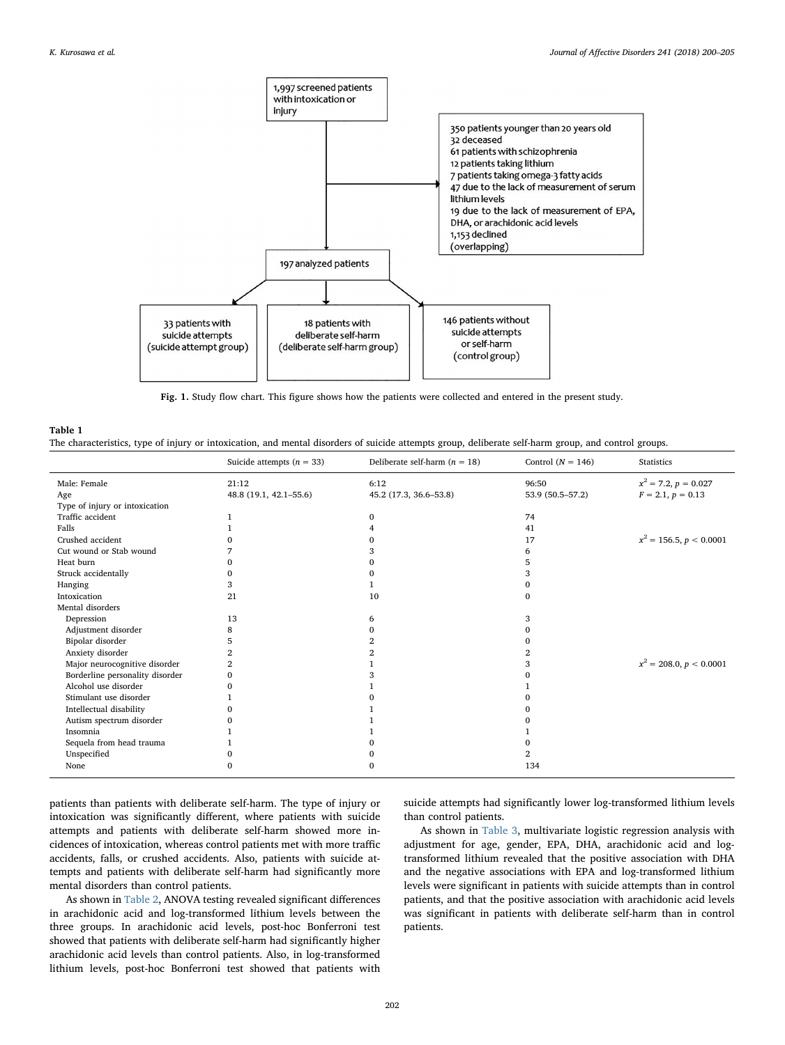<span id="page-2-0"></span>

Fig. 1. Study flow chart. This figure shows how the patients were collected and entered in the present study.

<span id="page-2-1"></span>

| Table 1                                                                                                                                              |  |
|------------------------------------------------------------------------------------------------------------------------------------------------------|--|
| The characteristics, type of injury or intoxication, and mental disorders of suicide attempts group, deliberate self-harm group, and control groups. |  |

|                                 | Suicide attempts $(n = 33)$ | Deliberate self-harm $(n = 18)$ | Control $(N = 146)$ | <b>Statistics</b>         |
|---------------------------------|-----------------------------|---------------------------------|---------------------|---------------------------|
| Male: Female                    | 21:12                       | 6:12                            | 96:50               | $x^2 = 7.2, p = 0.027$    |
| Age                             | 48.8 (19.1, 42.1-55.6)      | 45.2 (17.3, 36.6-53.8)          | 53.9 (50.5-57.2)    | $F = 2.1, p = 0.13$       |
| Type of injury or intoxication  |                             |                                 |                     |                           |
| Traffic accident                |                             | $\Omega$                        | 74                  |                           |
| Falls                           |                             |                                 | 41                  |                           |
| Crushed accident                |                             |                                 | 17                  | $x^2 = 156.5, p < 0.0001$ |
| Cut wound or Stab wound         |                             |                                 | 6                   |                           |
| Heat burn                       |                             |                                 | 5                   |                           |
| Struck accidentally             |                             |                                 | 3                   |                           |
| Hanging                         |                             |                                 | 0                   |                           |
| Intoxication                    | 21                          | 10                              | $\mathbf{0}$        |                           |
| Mental disorders                |                             |                                 |                     |                           |
| Depression                      | 13                          | 6                               | 3                   |                           |
| Adjustment disorder             | 8                           |                                 | 0                   |                           |
| Bipolar disorder                |                             |                                 | 0                   |                           |
| Anxiety disorder                |                             |                                 | 2                   |                           |
| Major neurocognitive disorder   |                             |                                 | 3                   | $x^2 = 208.0, p < 0.0001$ |
| Borderline personality disorder |                             |                                 |                     |                           |
| Alcohol use disorder            |                             |                                 |                     |                           |
| Stimulant use disorder          |                             |                                 |                     |                           |
| Intellectual disability         |                             |                                 | Ω                   |                           |
| Autism spectrum disorder        |                             |                                 |                     |                           |
| Insomnia                        |                             |                                 |                     |                           |
| Sequela from head trauma        |                             |                                 | o                   |                           |
| Unspecified                     |                             |                                 | 2                   |                           |
| None                            | ∩                           | 0                               | 134                 |                           |

patients than patients with deliberate self-harm. The type of injury or intoxication was significantly different, where patients with suicide attempts and patients with deliberate self-harm showed more incidences of intoxication, whereas control patients met with more traffic accidents, falls, or crushed accidents. Also, patients with suicide attempts and patients with deliberate self-harm had significantly more mental disorders than control patients.

As shown in [Table 2](#page-3-0), ANOVA testing revealed significant differences in arachidonic acid and log-transformed lithium levels between the three groups. In arachidonic acid levels, post-hoc Bonferroni test showed that patients with deliberate self-harm had significantly higher arachidonic acid levels than control patients. Also, in log-transformed lithium levels, post-hoc Bonferroni test showed that patients with

suicide attempts had significantly lower log-transformed lithium levels than control patients.

As shown in [Table 3,](#page-3-1) multivariate logistic regression analysis with adjustment for age, gender, EPA, DHA, arachidonic acid and logtransformed lithium revealed that the positive association with DHA and the negative associations with EPA and log-transformed lithium levels were significant in patients with suicide attempts than in control patients, and that the positive association with arachidonic acid levels was significant in patients with deliberate self-harm than in control patients.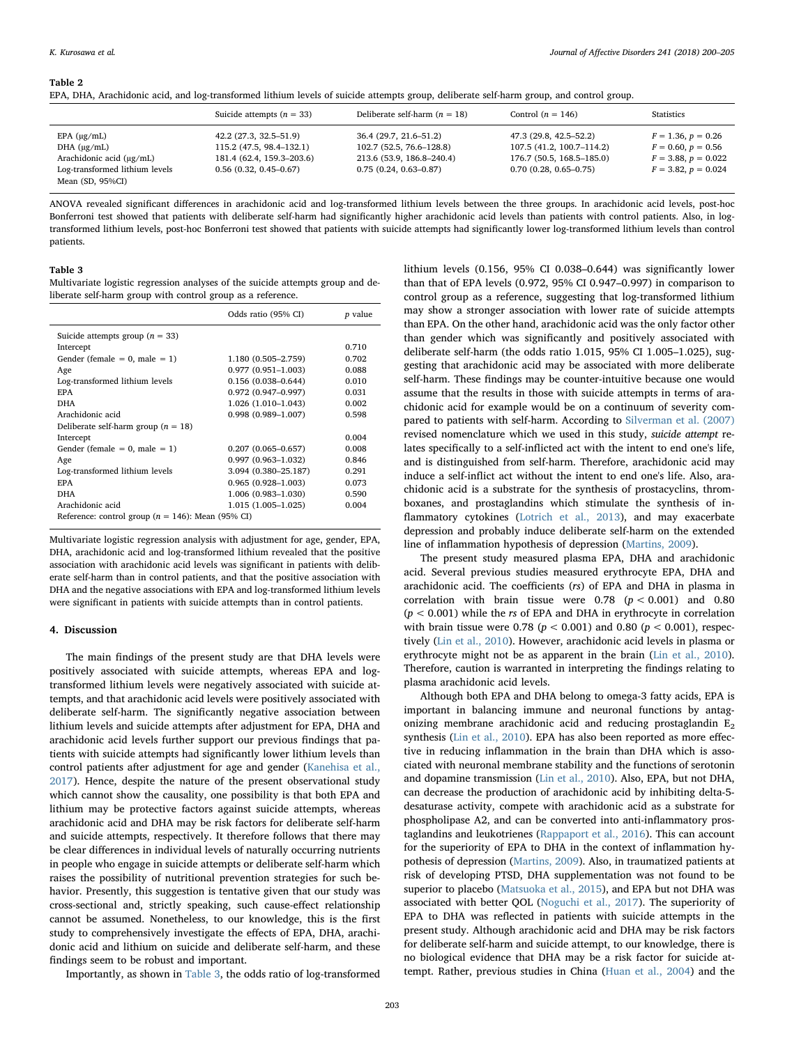#### <span id="page-3-0"></span>Table 2

|  |  |  |  |  | EPA, DHA, Arachidonic acid, and log-transformed lithium levels of suicide attempts group, deliberate self-harm group, and control group. |  |
|--|--|--|--|--|------------------------------------------------------------------------------------------------------------------------------------------|--|
|--|--|--|--|--|------------------------------------------------------------------------------------------------------------------------------------------|--|

|                                | Suicide attempts $(n = 33)$ | Deliberate self-harm $(n = 18)$ | Control $(n = 146)$       | Statistics            |
|--------------------------------|-----------------------------|---------------------------------|---------------------------|-----------------------|
| $EPA$ ( $\mu$ g/mL)            | 42.2 (27.3, 32.5–51.9)      | 36.4 (29.7, 21.6–51.2)          | 47.3 (29.8, 42.5–52.2)    | $F = 1.36, p = 0.26$  |
| DHA $(\mu g/mL)$               | 115.2 (47.5, 98.4–132.1)    | 102.7 (52.5, 76.6–128.8)        | 107.5 (41.2, 100.7-114.2) | $F = 0.60, p = 0.56$  |
| Arachidonic acid (µg/mL)       | 181.4 (62.4, 159.3-203.6)   | 213.6 (53.9, 186.8-240.4)       | 176.7 (50.5, 168.5–185.0) | $F = 3.88, p = 0.022$ |
| Log-transformed lithium levels | $0.56(0.32, 0.45 - 0.67)$   | $0.75(0.24, 0.63 - 0.87)$       | $0.70(0.28, 0.65 - 0.75)$ | $F = 3.82, p = 0.024$ |
| Mean (SD, 95%CI)               |                             |                                 |                           |                       |

ANOVA revealed significant differences in arachidonic acid and log-transformed lithium levels between the three groups. In arachidonic acid levels, post-hoc Bonferroni test showed that patients with deliberate self-harm had significantly higher arachidonic acid levels than patients with control patients. Also, in logtransformed lithium levels, post-hoc Bonferroni test showed that patients with suicide attempts had significantly lower log-transformed lithium levels than control patients.

#### <span id="page-3-1"></span>Table 3

Multivariate logistic regression analyses of the suicide attempts group and deliberate self-harm group with control group as a reference.

|                                                       | Odds ratio (95% CI)    | <i>p</i> value |
|-------------------------------------------------------|------------------------|----------------|
| Suicide attempts group $(n = 33)$                     |                        |                |
| Intercept                                             |                        | 0.710          |
| Gender (female $= 0$ , male $= 1$ )                   | 1.180 (0.505-2.759)    | 0.702          |
| Age                                                   | $0.977(0.951 - 1.003)$ | 0.088          |
| Log-transformed lithium levels                        | $0.156(0.038 - 0.644)$ | 0.010          |
| <b>EPA</b>                                            | $0.972(0.947 - 0.997)$ | 0.031          |
| <b>DHA</b>                                            | 1.026 (1.010-1.043)    | 0.002          |
| Arachidonic acid                                      | $0.998(0.989 - 1.007)$ | 0.598          |
| Deliberate self-harm group ( $n = 18$ )               |                        |                |
| Intercept                                             |                        | 0.004          |
| Gender (female $= 0$ , male $= 1$ )                   | $0.207(0.065 - 0.657)$ | 0.008          |
| Age                                                   | $0.997(0.963 - 1.032)$ | 0.846          |
| Log-transformed lithium levels                        | 3.094 (0.380-25.187)   | 0.291          |
| <b>EPA</b>                                            | $0.965(0.928 - 1.003)$ | 0.073          |
| <b>DHA</b>                                            | 1.006 (0.983-1.030)    | 0.590          |
| Arachidonic acid                                      | 1.015 (1.005–1.025)    | 0.004          |
| Reference: control group ( $n = 146$ ): Mean (95% CI) |                        |                |

Multivariate logistic regression analysis with adjustment for age, gender, EPA, DHA, arachidonic acid and log-transformed lithium revealed that the positive association with arachidonic acid levels was significant in patients with deliberate self-harm than in control patients, and that the positive association with DHA and the negative associations with EPA and log-transformed lithium levels were significant in patients with suicide attempts than in control patients.

## 4. Discussion

The main findings of the present study are that DHA levels were positively associated with suicide attempts, whereas EPA and logtransformed lithium levels were negatively associated with suicide attempts, and that arachidonic acid levels were positively associated with deliberate self-harm. The significantly negative association between lithium levels and suicide attempts after adjustment for EPA, DHA and arachidonic acid levels further support our previous findings that patients with suicide attempts had significantly lower lithium levels than control patients after adjustment for age and gender [\(Kanehisa et al.,](#page-4-5) [2017\)](#page-4-5). Hence, despite the nature of the present observational study which cannot show the causality, one possibility is that both EPA and lithium may be protective factors against suicide attempts, whereas arachidonic acid and DHA may be risk factors for deliberate self-harm and suicide attempts, respectively. It therefore follows that there may be clear differences in individual levels of naturally occurring nutrients in people who engage in suicide attempts or deliberate self-harm which raises the possibility of nutritional prevention strategies for such behavior. Presently, this suggestion is tentative given that our study was cross-sectional and, strictly speaking, such cause-effect relationship cannot be assumed. Nonetheless, to our knowledge, this is the first study to comprehensively investigate the effects of EPA, DHA, arachidonic acid and lithium on suicide and deliberate self-harm, and these findings seem to be robust and important.

Importantly, as shown in [Table 3](#page-3-1), the odds ratio of log-transformed

lithium levels (0.156, 95% CI 0.038–0.644) was significantly lower than that of EPA levels (0.972, 95% CI 0.947–0.997) in comparison to control group as a reference, suggesting that log-transformed lithium may show a stronger association with lower rate of suicide attempts than EPA. On the other hand, arachidonic acid was the only factor other than gender which was significantly and positively associated with deliberate self-harm (the odds ratio 1.015, 95% CI 1.005–1.025), suggesting that arachidonic acid may be associated with more deliberate self-harm. These findings may be counter-intuitive because one would assume that the results in those with suicide attempts in terms of arachidonic acid for example would be on a continuum of severity compared to patients with self-harm. According to [Silverman et al. \(2007\)](#page-5-3) revised nomenclature which we used in this study, suicide attempt relates specifically to a self-inflicted act with the intent to end one's life, and is distinguished from self-harm. Therefore, arachidonic acid may induce a self-inflict act without the intent to end one's life. Also, arachidonic acid is a substrate for the synthesis of prostacyclins, thromboxanes, and prostaglandins which stimulate the synthesis of inflammatory cytokines [\(Lotrich et al., 2013\)](#page-4-8), and may exacerbate depression and probably induce deliberate self-harm on the extended line of inflammation hypothesis of depression [\(Martins, 2009\)](#page-4-9).

The present study measured plasma EPA, DHA and arachidonic acid. Several previous studies measured erythrocyte EPA, DHA and arachidonic acid. The coefficients (rs) of EPA and DHA in plasma in correlation with brain tissue were  $0.78$   $(p < 0.001)$  and  $0.80$  $(p < 0.001)$  while the *rs* of EPA and DHA in erythrocyte in correlation with brain tissue were 0.78 ( $p < 0.001$ ) and 0.80 ( $p < 0.001$ ), respectively ([Lin et al., 2010\)](#page-4-10). However, arachidonic acid levels in plasma or erythrocyte might not be as apparent in the brain ([Lin et al., 2010](#page-4-10)). Therefore, caution is warranted in interpreting the findings relating to plasma arachidonic acid levels.

Although both EPA and DHA belong to omega-3 fatty acids, EPA is important in balancing immune and neuronal functions by antagonizing membrane arachidonic acid and reducing prostaglandin  $E_2$ synthesis [\(Lin et al., 2010\)](#page-4-10). EPA has also been reported as more effective in reducing inflammation in the brain than DHA which is associated with neuronal membrane stability and the functions of serotonin and dopamine transmission [\(Lin et al., 2010](#page-4-10)). Also, EPA, but not DHA, can decrease the production of arachidonic acid by inhibiting delta-5 desaturase activity, compete with arachidonic acid as a substrate for phospholipase A2, and can be converted into anti-inflammatory prostaglandins and leukotrienes ([Rappaport et al., 2016\)](#page-4-11). This can account for the superiority of EPA to DHA in the context of inflammation hypothesis of depression ([Martins, 2009](#page-4-9)). Also, in traumatized patients at risk of developing PTSD, DHA supplementation was not found to be superior to placebo [\(Matsuoka et al., 2015\)](#page-4-12), and EPA but not DHA was associated with better QOL ([Noguchi et al., 2017\)](#page-4-13). The superiority of EPA to DHA was reflected in patients with suicide attempts in the present study. Although arachidonic acid and DHA may be risk factors for deliberate self-harm and suicide attempt, to our knowledge, there is no biological evidence that DHA may be a risk factor for suicide attempt. Rather, previous studies in China ([Huan et al., 2004\)](#page-4-14) and the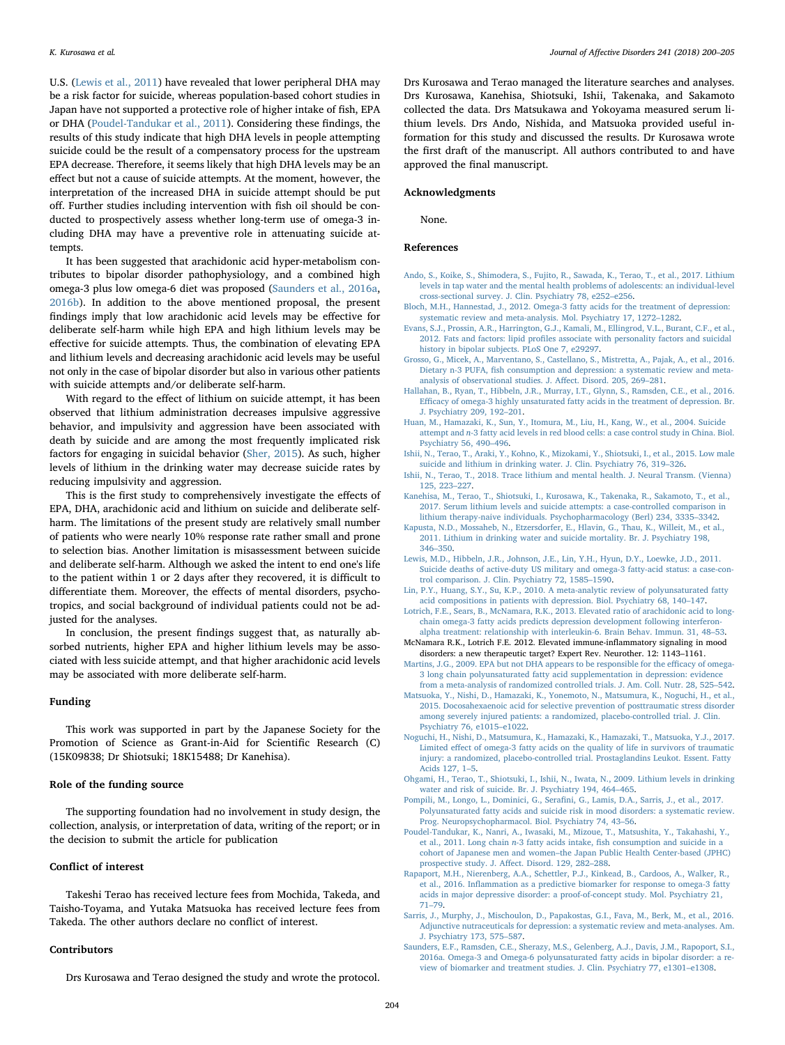U.S. [\(Lewis et al., 2011\)](#page-4-15) have revealed that lower peripheral DHA may be a risk factor for suicide, whereas population-based cohort studies in Japan have not supported a protective role of higher intake of fish, EPA or DHA [\(Poudel-Tandukar et al., 2011](#page-4-3)). Considering these findings, the results of this study indicate that high DHA levels in people attempting suicide could be the result of a compensatory process for the upstream EPA decrease. Therefore, it seems likely that high DHA levels may be an effect but not a cause of suicide attempts. At the moment, however, the interpretation of the increased DHA in suicide attempt should be put off. Further studies including intervention with fish oil should be conducted to prospectively assess whether long-term use of omega-3 including DHA may have a preventive role in attenuating suicide attempts.

It has been suggested that arachidonic acid hyper-metabolism contributes to bipolar disorder pathophysiology, and a combined high omega-3 plus low omega-6 diet was proposed ([Saunders et al., 2016a](#page-4-16), [2016b\)](#page-5-4). In addition to the above mentioned proposal, the present findings imply that low arachidonic acid levels may be effective for deliberate self-harm while high EPA and high lithium levels may be effective for suicide attempts. Thus, the combination of elevating EPA and lithium levels and decreasing arachidonic acid levels may be useful not only in the case of bipolar disorder but also in various other patients with suicide attempts and/or deliberate self-harm.

With regard to the effect of lithium on suicide attempt, it has been observed that lithium administration decreases impulsive aggressive behavior, and impulsivity and aggression have been associated with death by suicide and are among the most frequently implicated risk factors for engaging in suicidal behavior [\(Sher, 2015\)](#page-5-5). As such, higher levels of lithium in the drinking water may decrease suicide rates by reducing impulsivity and aggression.

This is the first study to comprehensively investigate the effects of EPA, DHA, arachidonic acid and lithium on suicide and deliberate selfharm. The limitations of the present study are relatively small number of patients who were nearly 10% response rate rather small and prone to selection bias. Another limitation is misassessment between suicide and deliberate self-harm. Although we asked the intent to end one's life to the patient within 1 or 2 days after they recovered, it is difficult to differentiate them. Moreover, the effects of mental disorders, psychotropics, and social background of individual patients could not be adjusted for the analyses.

In conclusion, the present findings suggest that, as naturally absorbed nutrients, higher EPA and higher lithium levels may be associated with less suicide attempt, and that higher arachidonic acid levels may be associated with more deliberate self-harm.

## Funding

This work was supported in part by the Japanese Society for the Promotion of Science as Grant-in-Aid for Scientific Research (C) (15K09838; Dr Shiotsuki; 18K15488; Dr Kanehisa).

## Role of the funding source

The supporting foundation had no involvement in study design, the collection, analysis, or interpretation of data, writing of the report; or in the decision to submit the article for publication

## Conflict of interest

Takeshi Terao has received lecture fees from Mochida, Takeda, and Taisho-Toyama, and Yutaka Matsuoka has received lecture fees from Takeda. The other authors declare no conflict of interest.

#### Contributors

Drs Kurosawa and Terao designed the study and wrote the protocol.

Drs Kurosawa and Terao managed the literature searches and analyses. Drs Kurosawa, Kanehisa, Shiotsuki, Ishii, Takenaka, and Sakamoto collected the data. Drs Matsukawa and Yokoyama measured serum lithium levels. Drs Ando, Nishida, and Matsuoka provided useful information for this study and discussed the results. Dr Kurosawa wrote the first draft of the manuscript. All authors contributed to and have approved the final manuscript.

## Acknowledgments

None.

#### References

- <span id="page-4-6"></span>[Ando, S., Koike, S., Shimodera, S., Fujito, R., Sawada, K., Terao, T., et al., 2017. Lithium](http://refhub.elsevier.com/S0165-0327(18)31202-3/sbref0001) [levels in tap water and the mental health problems of adolescents: an individual-level](http://refhub.elsevier.com/S0165-0327(18)31202-3/sbref0001) [cross-sectional survey. J. Clin. Psychiatry 78, e252](http://refhub.elsevier.com/S0165-0327(18)31202-3/sbref0001)–e256.
- [Bloch, M.H., Hannestad, J., 2012. Omega-3 fatty acids for the treatment of depression:](http://refhub.elsevier.com/S0165-0327(18)31202-3/sbref0002) [systematic review and meta-analysis. Mol. Psychiatry 17, 1272](http://refhub.elsevier.com/S0165-0327(18)31202-3/sbref0002)–1282.
- <span id="page-4-4"></span>[Evans, S.J., Prossin, A.R., Harrington, G.J., Kamali, M., Ellingrod, V.L., Burant, C.F., et al.,](http://refhub.elsevier.com/S0165-0327(18)31202-3/sbref0003) 2012. Fats and factors: lipid profi[les associate with personality factors and suicidal](http://refhub.elsevier.com/S0165-0327(18)31202-3/sbref0003) [history in bipolar subjects. PLoS One 7, e29297.](http://refhub.elsevier.com/S0165-0327(18)31202-3/sbref0003)
- <span id="page-4-0"></span>[Grosso, G., Micek, A., Marventano, S., Castellano, S., Mistretta, A., Pajak, A., et al., 2016.](http://refhub.elsevier.com/S0165-0327(18)31202-3/sbref0004) Dietary n-3 PUFA, fi[sh consumption and depression: a systematic review and meta](http://refhub.elsevier.com/S0165-0327(18)31202-3/sbref0004)[analysis of observational studies. J. A](http://refhub.elsevier.com/S0165-0327(18)31202-3/sbref0004)ffect. Disord. 205, 269–281.
- [Hallahan, B., Ryan, T., Hibbeln, J.R., Murray, I.T., Glynn, S., Ramsden, C.E., et al., 2016.](http://refhub.elsevier.com/S0165-0327(18)31202-3/sbref0005) Effi[cacy of omega-3 highly unsaturated fatty acids in the treatment of depression. Br.](http://refhub.elsevier.com/S0165-0327(18)31202-3/sbref0005) [J. Psychiatry 209, 192](http://refhub.elsevier.com/S0165-0327(18)31202-3/sbref0005)–201.
- <span id="page-4-14"></span>[Huan, M., Hamazaki, K., Sun, Y., Itomura, M., Liu, H., Kang, W., et al., 2004. Suicide](http://refhub.elsevier.com/S0165-0327(18)31202-3/sbref0006) attempt and n[-3 fatty acid levels in red blood cells: a case control study in China. Biol.](http://refhub.elsevier.com/S0165-0327(18)31202-3/sbref0006) [Psychiatry 56, 490](http://refhub.elsevier.com/S0165-0327(18)31202-3/sbref0006)–496.
- [Ishii, N., Terao, T., Araki, Y., Kohno, K., Mizokami, Y., Shiotsuki, I., et al., 2015. Low male](http://refhub.elsevier.com/S0165-0327(18)31202-3/sbref0007) [suicide and lithium in drinking water. J. Clin. Psychiatry 76, 319](http://refhub.elsevier.com/S0165-0327(18)31202-3/sbref0007)–326.
- [Ishii, N., Terao, T., 2018. Trace lithium and mental health. J. Neural Transm. \(Vienna\)](http://refhub.elsevier.com/S0165-0327(18)31202-3/sbref0008) [125, 223](http://refhub.elsevier.com/S0165-0327(18)31202-3/sbref0008)–227.
- <span id="page-4-5"></span>[Kanehisa, M., Terao, T., Shiotsuki, I., Kurosawa, K., Takenaka, R., Sakamoto, T., et al.,](http://refhub.elsevier.com/S0165-0327(18)31202-3/sbref0009) [2017. Serum lithium levels and suicide attempts: a case-controlled comparison in](http://refhub.elsevier.com/S0165-0327(18)31202-3/sbref0009) [lithium therapy-naive individuals. Psychopharmacology \(Berl\) 234, 3335](http://refhub.elsevier.com/S0165-0327(18)31202-3/sbref0009)–3342.
- [Kapusta, N.D., Mossaheb, N., Etzersdorfer, E., Hlavin, G., Thau, K., Willeit, M., et al.,](http://refhub.elsevier.com/S0165-0327(18)31202-3/sbref0010) [2011. Lithium in drinking water and suicide mortality. Br. J. Psychiatry 198,](http://refhub.elsevier.com/S0165-0327(18)31202-3/sbref0010) 346–[350](http://refhub.elsevier.com/S0165-0327(18)31202-3/sbref0010).
- <span id="page-4-15"></span>[Lewis, M.D., Hibbeln, J.R., Johnson, J.E., Lin, Y.H., Hyun, D.Y., Loewke, J.D., 2011.](http://refhub.elsevier.com/S0165-0327(18)31202-3/sbref0011) [Suicide deaths of active-duty US military and omega-3 fatty-acid status: a case-con](http://refhub.elsevier.com/S0165-0327(18)31202-3/sbref0011)[trol comparison. J. Clin. Psychiatry 72, 1585](http://refhub.elsevier.com/S0165-0327(18)31202-3/sbref0011)–1590.
- <span id="page-4-10"></span>[Lin, P.Y., Huang, S.Y., Su, K.P., 2010. A meta-analytic review of polyunsaturated fatty](http://refhub.elsevier.com/S0165-0327(18)31202-3/sbref0012) [acid compositions in patients with depression. Biol. Psychiatry 68, 140](http://refhub.elsevier.com/S0165-0327(18)31202-3/sbref0012)–147.
- <span id="page-4-8"></span>[Lotrich, F.E., Sears, B., McNamara, R.K., 2013. Elevated ratio of arachidonic acid to long](http://refhub.elsevier.com/S0165-0327(18)31202-3/sbref0013)[chain omega-3 fatty acids predicts depression development following interferon-](http://refhub.elsevier.com/S0165-0327(18)31202-3/sbref0013)
- <span id="page-4-7"></span>[alpha treatment: relationship with interleukin-6. Brain Behav. Immun. 31, 48](http://refhub.elsevier.com/S0165-0327(18)31202-3/sbref0013)–53. McNamara R.K., Lotrich F.E. 2012. Elevated immune-inflammatory signaling in mood disorders: a new therapeutic target? Expert Rev. Neurother. 12: 1143–1161.
- <span id="page-4-9"></span>[Martins, J.G., 2009. EPA but not DHA appears to be responsible for the e](http://refhub.elsevier.com/S0165-0327(18)31202-3/sbref0014)fficacy of omega-[3 long chain polyunsaturated fatty acid supplementation in depression: evidence](http://refhub.elsevier.com/S0165-0327(18)31202-3/sbref0014) [from a meta-analysis of randomized controlled trials. J. Am. Coll. Nutr. 28, 525](http://refhub.elsevier.com/S0165-0327(18)31202-3/sbref0014)–542.
- <span id="page-4-12"></span>[Matsuoka, Y., Nishi, D., Hamazaki, K., Yonemoto, N., Matsumura, K., Noguchi, H., et al.,](http://refhub.elsevier.com/S0165-0327(18)31202-3/sbref0015) [2015. Docosahexaenoic acid for selective prevention of posttraumatic stress disorder](http://refhub.elsevier.com/S0165-0327(18)31202-3/sbref0015) [among severely injured patients: a randomized, placebo-controlled trial. J. Clin.](http://refhub.elsevier.com/S0165-0327(18)31202-3/sbref0015) [Psychiatry 76, e1015](http://refhub.elsevier.com/S0165-0327(18)31202-3/sbref0015)–e1022.
- <span id="page-4-13"></span>[Noguchi, H., Nishi, D., Matsumura, K., Hamazaki, K., Hamazaki, T., Matsuoka, Y.J., 2017.](http://refhub.elsevier.com/S0165-0327(18)31202-3/sbref0016) Limited eff[ect of omega-3 fatty acids on the quality of life in survivors of traumatic](http://refhub.elsevier.com/S0165-0327(18)31202-3/sbref0016) [injury: a randomized, placebo-controlled trial. Prostaglandins Leukot. Essent. Fatty](http://refhub.elsevier.com/S0165-0327(18)31202-3/sbref0016) [Acids 127, 1](http://refhub.elsevier.com/S0165-0327(18)31202-3/sbref0016)–5.
- [Ohgami, H., Terao, T., Shiotsuki, I., Ishii, N., Iwata, N., 2009. Lithium levels in drinking](http://refhub.elsevier.com/S0165-0327(18)31202-3/sbref0017) [water and risk of suicide. Br. J. Psychiatry 194, 464](http://refhub.elsevier.com/S0165-0327(18)31202-3/sbref0017)–465.
- <span id="page-4-2"></span>Pompili, M., Longo, L., Dominici, G., Serafi[ni, G., Lamis, D.A., Sarris, J., et al., 2017.](http://refhub.elsevier.com/S0165-0327(18)31202-3/sbref0018) [Polyunsaturated fatty acids and suicide risk in mood disorders: a systematic review.](http://refhub.elsevier.com/S0165-0327(18)31202-3/sbref0018) [Prog. Neuropsychopharmacol. Biol. Psychiatry 74, 43](http://refhub.elsevier.com/S0165-0327(18)31202-3/sbref0018)–56.
- <span id="page-4-3"></span>[Poudel-Tandukar, K., Nanri, A., Iwasaki, M., Mizoue, T., Matsushita, Y., Takahashi, Y.,](http://refhub.elsevier.com/S0165-0327(18)31202-3/sbref0019) et al., 2011. Long chain n-3 fatty acids intake, fi[sh consumption and suicide in a](http://refhub.elsevier.com/S0165-0327(18)31202-3/sbref0019) cohort of Japanese men and women–[the Japan Public Health Center-based \(JPHC\)](http://refhub.elsevier.com/S0165-0327(18)31202-3/sbref0019) [prospective study. J. A](http://refhub.elsevier.com/S0165-0327(18)31202-3/sbref0019)ffect. Disord. 129, 282–288.
- <span id="page-4-11"></span>[Rapaport, M.H., Nierenberg, A.A., Schettler, P.J., Kinkead, B., Cardoos, A., Walker, R.,](http://refhub.elsevier.com/S0165-0327(18)31202-3/sbref0020) et al., 2016. Infl[ammation as a predictive biomarker for response to omega-3 fatty](http://refhub.elsevier.com/S0165-0327(18)31202-3/sbref0020) [acids in major depressive disorder: a proof-of-concept study. Mol. Psychiatry 21,](http://refhub.elsevier.com/S0165-0327(18)31202-3/sbref0020) 71–[79](http://refhub.elsevier.com/S0165-0327(18)31202-3/sbref0020).
- <span id="page-4-1"></span>[Sarris, J., Murphy, J., Mischoulon, D., Papakostas, G.I., Fava, M., Berk, M., et al., 2016.](http://refhub.elsevier.com/S0165-0327(18)31202-3/sbref0021) [Adjunctive nutraceuticals for depression: a systematic review and meta-analyses. Am.](http://refhub.elsevier.com/S0165-0327(18)31202-3/sbref0021) [J. Psychiatry 173, 575](http://refhub.elsevier.com/S0165-0327(18)31202-3/sbref0021)–587.
- <span id="page-4-16"></span>[Saunders, E.F., Ramsden, C.E., Sherazy, M.S., Gelenberg, A.J., Davis, J.M., Rapoport, S.I.,](http://refhub.elsevier.com/S0165-0327(18)31202-3/sbref0022) [2016a. Omega-3 and Omega-6 polyunsaturated fatty acids in bipolar disorder: a re](http://refhub.elsevier.com/S0165-0327(18)31202-3/sbref0022)[view of biomarker and treatment studies. J. Clin. Psychiatry 77, e1301](http://refhub.elsevier.com/S0165-0327(18)31202-3/sbref0022)–e1308.